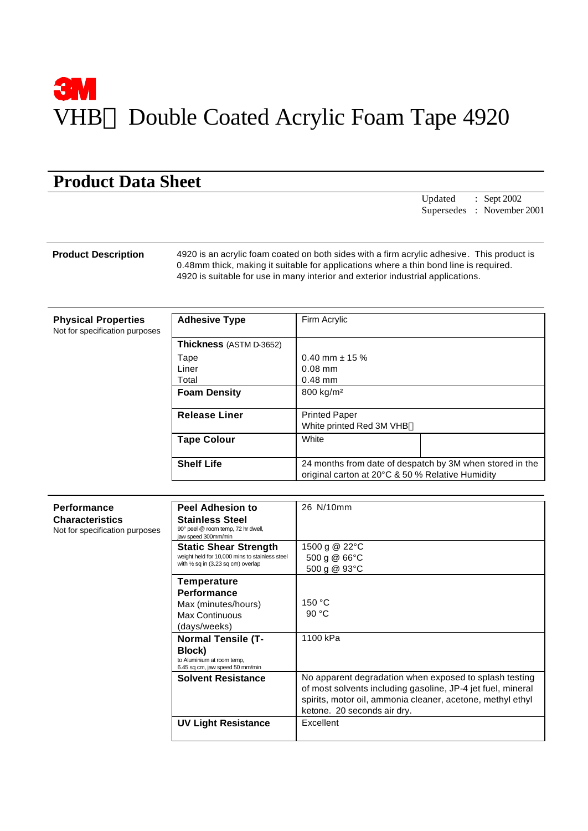# **3M** VHB<sup>™</sup> Double Coated Acrylic Foam Tape 4920

## **Product Data Sheet**

Updated : Sept 2002 Supersedes : November 2001

**Product Description** 4920 is an acrylic foam coated on both sides with a firm acrylic adhesive. This product is 0.48mm thick, making it suitable for applications where a thin bond line is required. 4920 is suitable for use in many interior and exterior industrial applications.

**Physical Properties**

| Not for specification purposes |  |
|--------------------------------|--|
|                                |  |

| <b>Adhesive Type</b>           | Firm Acrylic                                                                                                 |  |  |
|--------------------------------|--------------------------------------------------------------------------------------------------------------|--|--|
| <b>Thickness</b> (ASTM D-3652) |                                                                                                              |  |  |
| Tape                           | $0.40$ mm $\pm$ 15 %                                                                                         |  |  |
| Liner                          | $0.08$ mm                                                                                                    |  |  |
| Total                          | $0.48$ mm                                                                                                    |  |  |
| <b>Foam Density</b>            | 800 kg/m <sup>2</sup>                                                                                        |  |  |
| <b>Release Liner</b>           | <b>Printed Paper</b><br>White printed Red 3M VHB™                                                            |  |  |
| <b>Tape Colour</b>             | White                                                                                                        |  |  |
| <b>Shelf Life</b>              | 24 months from date of despatch by 3M when stored in the<br>original carton at 20°C & 50 % Relative Humidity |  |  |

| Performance<br>Characteristics<br>Not for specification purposes | <b>Peel Adhesion to</b><br><b>Stainless Steel</b><br>90° peel @ room temp, 72 hr dwell,<br>iaw speed 300mm/min                  | 26 N/10mm                                                                                                                                                                                                          |
|------------------------------------------------------------------|---------------------------------------------------------------------------------------------------------------------------------|--------------------------------------------------------------------------------------------------------------------------------------------------------------------------------------------------------------------|
|                                                                  | <b>Static Shear Strength</b><br>weight held for 10,000 mins to stainless steel<br>with $\frac{1}{2}$ sq in (3.23 sq cm) overlap | 1500 g @ 22°C<br>500 g @ 66°C<br>500 g @ 93°C                                                                                                                                                                      |
|                                                                  | <b>Temperature</b>                                                                                                              |                                                                                                                                                                                                                    |
|                                                                  | <b>Performance</b><br>Max (minutes/hours)<br>Max Continuous<br>(days/weeks)                                                     | 150 °C<br>90 $°C$                                                                                                                                                                                                  |
|                                                                  | <b>Normal Tensile (T-</b><br>Block)<br>to Aluminium at room temp,<br>6.45 sq cm, jaw speed 50 mm/min                            | 1100 kPa                                                                                                                                                                                                           |
|                                                                  | <b>Solvent Resistance</b>                                                                                                       | No apparent degradation when exposed to splash testing<br>of most solvents including gasoline, JP-4 jet fuel, mineral<br>spirits, motor oil, ammonia cleaner, acetone, methyl ethyl<br>ketone. 20 seconds air dry. |
|                                                                  | <b>UV Light Resistance</b>                                                                                                      | Excellent                                                                                                                                                                                                          |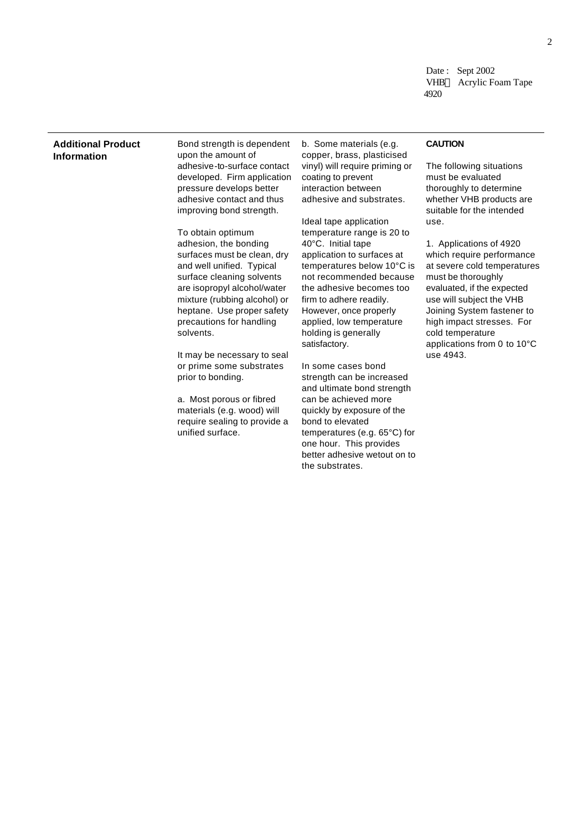Date: Sept 2002 VHB<sup>™</sup> Acrylic Foam Tape 4920

### **Additional Product Information**

Bond strength is dependent upon the amount of adhesive-to-surface contact developed. Firm application pressure develops better adhesive contact and thus improving bond strength.

To obtain optimum adhesion, the bonding surfaces must be clean, dry and well unified. Typical surface cleaning solvents are isopropyl alcohol/water mixture (rubbing alcohol) or heptane. Use proper safety precautions for handling solvents.

It may be necessary to seal or prime some substrates prior to bonding.

a. Most porous or fibred materials (e.g. wood) will require sealing to provide a unified surface.

b. Some materials (e.g. copper, brass, plasticised vinyl) will require priming or coating to prevent interaction between adhesive and substrates.

Ideal tape application temperature range is 20 to 40°C. Initial tape application to surfaces at temperatures below 10°C is not recommended because the adhesive becomes too firm to adhere readily. However, once properly applied, low temperature holding is generally satisfactory.

In some cases bond strength can be increased and ultimate bond strength can be achieved more quickly by exposure of the bond to elevated temperatures (e.g. 65°C) for one hour. This provides better adhesive wetout on to the substrates.

### **CAUTION**

The following situations must be evaluated thoroughly to determine whether VHB products are suitable for the intended use.

1. Applications of 4920 which require performance at severe cold temperatures must be thoroughly evaluated, if the expected use will subject the VHB Joining System fastener to high impact stresses. For cold temperature applications from 0 to 10°C use 4943.